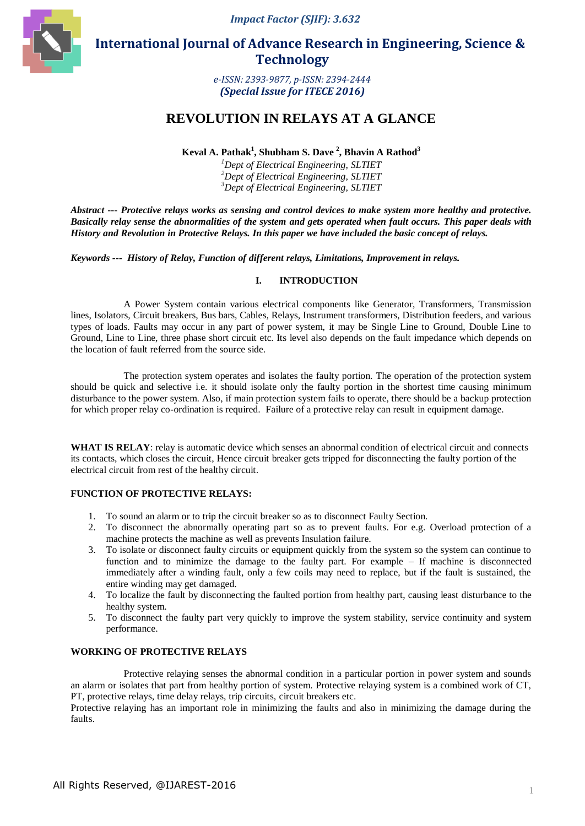*Impact Factor (SJIF): 3.632*



 **International Journal of Advance Research in Engineering, Science & Technology** 

> *e-ISSN: 2393-9877, p-ISSN: 2394-2444 (Special Issue for ITECE 2016)*

# **REVOLUTION IN RELAYS AT A GLANCE**

**Keval A. Pathak<sup>1</sup> , Shubham S. Dave <sup>2</sup> , Bhavin A Rathod<sup>3</sup>**

*<sup>1</sup>Dept of Electrical Engineering, SLTIET <sup>2</sup>Dept of Electrical Engineering, SLTIET <sup>3</sup>Dept of Electrical Engineering, SLTIET*

*Abstract --- Protective relays works as sensing and control devices to make system more healthy and protective. Basically relay sense the abnormalities of the system and gets operated when fault occurs. This paper deals with History and Revolution in Protective Relays. In this paper we have included the basic concept of relays.*

*Keywords --- History of Relay, Function of different relays, Limitations, Improvement in relays.*

## **I. INTRODUCTION**

A Power System contain various electrical components like Generator, Transformers, Transmission lines, Isolators, Circuit breakers, Bus bars, Cables, Relays, Instrument transformers, Distribution feeders, and various types of loads. Faults may occur in any part of power system, it may be Single Line to Ground, Double Line to Ground, Line to Line, three phase short circuit etc. Its level also depends on the fault impedance which depends on the location of fault referred from the source side.

The protection system operates and isolates the faulty portion. The operation of the protection system should be quick and selective i.e. it should isolate only the faulty portion in the shortest time causing minimum disturbance to the power system. Also, if main protection system fails to operate, there should be a backup protection for which proper relay co-ordination is required. Failure of a protective relay can result in equipment damage.

WHAT IS RELAY: relay is automatic device which senses an abnormal condition of electrical circuit and connects its contacts, which closes the circuit, Hence circuit breaker gets tripped for disconnecting the faulty portion of the electrical circuit from rest of the healthy circuit.

## **FUNCTION OF PROTECTIVE RELAYS:**

- 1. To sound an alarm or to trip the circuit breaker so as to disconnect Faulty Section.
- 2. To disconnect the abnormally operating part so as to prevent faults. For e.g. Overload protection of a machine protects the machine as well as prevents Insulation failure.
- 3. To isolate or disconnect faulty circuits or equipment quickly from the system so the system can continue to function and to minimize the damage to the faulty part. For example – If machine is disconnected immediately after a winding fault, only a few coils may need to replace, but if the fault is sustained, the entire winding may get damaged.
- 4. To localize the fault by disconnecting the faulted portion from healthy part, causing least disturbance to the healthy system.
- 5. To disconnect the faulty part very quickly to improve the system stability, service continuity and system performance.

## **WORKING OF PROTECTIVE RELAYS**

Protective relaying senses the abnormal condition in a particular portion in power system and sounds an alarm or isolates that part from healthy portion of system. Protective relaying system is a combined work of CT, PT, protective relays, time delay relays, trip circuits, circuit breakers etc.

Protective relaying has an important role in minimizing the faults and also in minimizing the damage during the faults.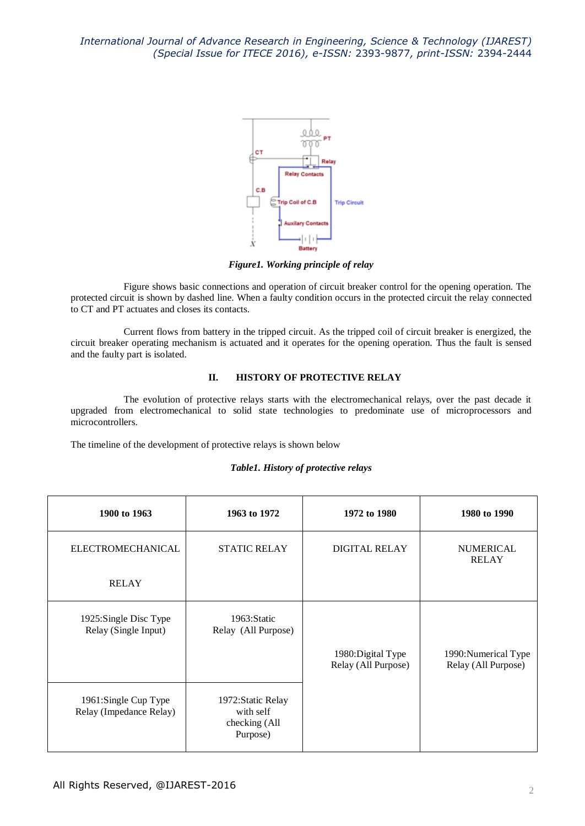

*Figure1. Working principle of relay*

Figure shows basic connections and operation of circuit breaker control for the opening operation. The protected circuit is shown by dashed line. When a faulty condition occurs in the protected circuit the relay connected to CT and PT actuates and closes its contacts.

Current flows from battery in the tripped circuit. As the tripped coil of circuit breaker is energized, the circuit breaker operating mechanism is actuated and it operates for the opening operation. Thus the fault is sensed and the faulty part is isolated.

# **II. HISTORY OF PROTECTIVE RELAY**

The evolution of protective relays starts with the electromechanical relays, over the past decade it upgraded from electromechanical to solid state technologies to predominate use of microprocessors and microcontrollers.

The timeline of the development of protective relays is shown below

## *Table1. History of protective relays*

| 1900 to 1963                                    | 1963 to 1972                                                 | 1972 to 1980         | 1980 to 1990                     |
|-------------------------------------------------|--------------------------------------------------------------|----------------------|----------------------------------|
| <b>ELECTROMECHANICAL</b>                        | <b>STATIC RELAY</b>                                          | <b>DIGITAL RELAY</b> | <b>NUMERICAL</b><br><b>RELAY</b> |
| <b>RELAY</b>                                    |                                                              |                      |                                  |
| 1925:Single Disc Type<br>Relay (Single Input)   | 1963: Static<br>Relay (All Purpose)                          | 1980: Digital Type   | 1990: Numerical Type             |
|                                                 |                                                              | Relay (All Purpose)  | Relay (All Purpose)              |
| 1961:Single Cup Type<br>Relay (Impedance Relay) | 1972: Static Relay<br>with self<br>checking (All<br>Purpose) |                      |                                  |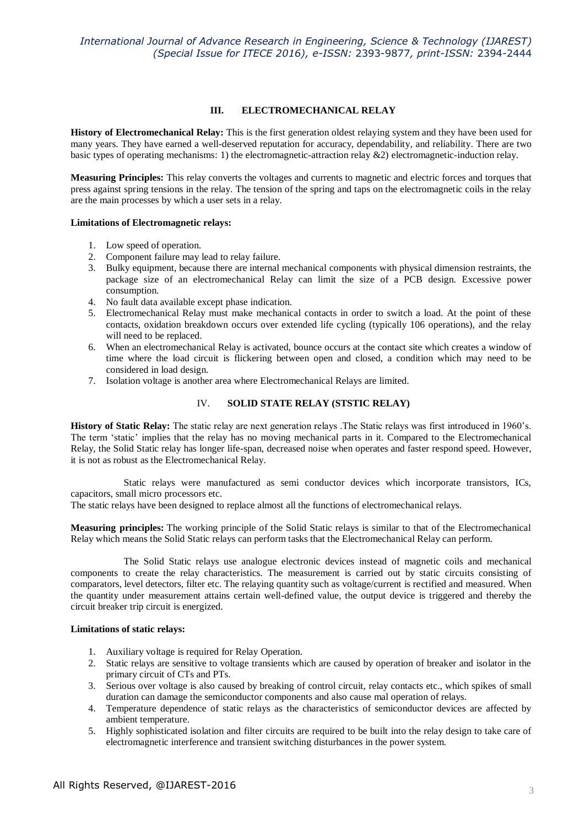## **III. ELECTROMECHANICAL RELAY**

**History of Electromechanical Relay:** This is the first generation oldest relaying system and they have been used for many years. They have earned a well-deserved reputation for accuracy, dependability, and reliability. There are two basic types of operating mechanisms: 1) the electromagnetic-attraction relay &2) electromagnetic-induction relay.

**Measuring Principles:** This relay converts the voltages and currents to magnetic and electric forces and torques that press against spring tensions in the relay. The tension of the spring and taps on the electromagnetic coils in the relay are the main processes by which a user sets in a relay.

#### **Limitations of Electromagnetic relays:**

- 1. Low speed of operation.
- 2. Component failure may lead to relay failure.
- 3. Bulky equipment, because there are internal mechanical components with physical dimension restraints, the package size of an electromechanical Relay can limit the size of a PCB design. Excessive power consumption.
- 4. No fault data available except phase indication.
- 5. Electromechanical Relay must make mechanical contacts in order to switch a load. At the point of these contacts, oxidation breakdown occurs over extended life cycling (typically 106 operations), and the relay will need to be replaced.
- 6. When an electromechanical Relay is activated, bounce occurs at the contact site which creates a window of time where the load circuit is flickering between open and closed, a condition which may need to be considered in load design.
- 7. Isolation voltage is another area where Electromechanical Relays are limited.

## IV. **SOLID STATE RELAY (STSTIC RELAY)**

**History of Static Relay:** The static relay are next generation relays. The Static relays was first introduced in 1960's. The term 'static' implies that the relay has no moving mechanical parts in it. Compared to the Electromechanical Relay, the Solid Static relay has longer life-span, decreased noise when operates and faster respond speed. However, it is not as robust as the Electromechanical Relay.

Static relays were manufactured as semi conductor devices which incorporate transistors, ICs, capacitors, small micro processors etc.

The static relays have been designed to replace almost all the functions of electromechanical relays.

**Measuring principles:** The working principle of the Solid Static relays is similar to that of the Electromechanical Relay which means the Solid Static relays can perform tasks that the Electromechanical Relay can perform.

The Solid Static relays use analogue electronic devices instead of magnetic coils and mechanical components to create the relay characteristics. The measurement is carried out by static circuits consisting of comparators, level detectors, filter etc. The relaying quantity such as voltage/current is rectified and measured. When the quantity under measurement attains certain well-defined value, the output device is triggered and thereby the circuit breaker trip circuit is energized.

## **Limitations of static relays:**

- 1. Auxiliary voltage is required for Relay Operation.
- 2. Static relays are sensitive to voltage transients which are caused by operation of breaker and isolator in the primary circuit of CTs and PTs.
- 3. Serious over voltage is also caused by breaking of control circuit, relay contacts etc., which spikes of small duration can damage the semiconductor components and also cause mal operation of relays.
- 4. Temperature dependence of static relays as the characteristics of semiconductor devices are affected by ambient temperature.
- 5. Highly sophisticated isolation and filter circuits are required to be built into the relay design to take care of electromagnetic interference and transient switching disturbances in the power system.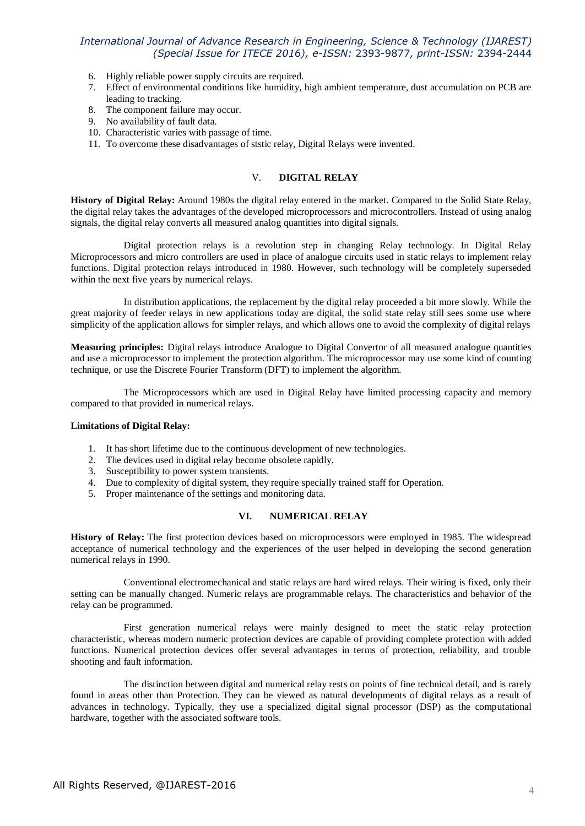# *International Journal of Advance Research in Engineering, Science & Technology (IJAREST) (Special Issue for ITECE 2016), e-ISSN:* 2393-9877*, print-ISSN:* 2394-2444

- 6. Highly reliable power supply circuits are required.
- 7. Effect of environmental conditions like humidity, high ambient temperature, dust accumulation on PCB are leading to tracking.
- 8. The component failure may occur.
- 9. No availability of fault data.
- 10. Characteristic varies with passage of time.
- 11. To overcome these disadvantages of ststic relay, Digital Relays were invented.

## V. **DIGITAL RELAY**

**History of Digital Relay:** Around 1980s the digital relay entered in the market. Compared to the Solid State Relay, the digital relay takes the advantages of the developed microprocessors and microcontrollers. Instead of using analog signals, the digital relay converts all measured analog quantities into digital signals.

Digital protection relays is a revolution step in changing Relay technology. In Digital Relay Microprocessors and micro controllers are used in place of analogue circuits used in static relays to implement relay functions. Digital protection relays introduced in 1980. However, such technology will be completely superseded within the next five years by numerical relays.

In distribution applications, the replacement by the digital relay proceeded a bit more slowly. While the great majority of feeder relays in new applications today are digital, the solid state relay still sees some use where simplicity of the application allows for simpler relays, and which allows one to avoid the complexity of digital relays

**Measuring principles:** Digital relays introduce Analogue to Digital Convertor of all measured analogue quantities and use a microprocessor to implement the protection algorithm. The microprocessor may use some kind of counting technique, or use the Discrete Fourier Transform (DFT) to implement the algorithm.

The Microprocessors which are used in Digital Relay have limited processing capacity and memory compared to that provided in numerical relays.

#### **Limitations of Digital Relay:**

- 1. It has short lifetime due to the continuous development of new technologies.
- 2. The devices used in digital relay become obsolete rapidly.
- 3. Susceptibility to power system transients.
- 4. Due to complexity of digital system, they require specially trained staff for Operation.
- 5. Proper maintenance of the settings and monitoring data.

#### **VI. NUMERICAL RELAY**

**History of Relay:** The first protection devices based on microprocessors were employed in 1985. The widespread acceptance of numerical technology and the experiences of the user helped in developing the second generation numerical relays in 1990.

Conventional electromechanical and static relays are hard wired relays. Their wiring is fixed, only their setting can be manually changed. Numeric relays are programmable relays. The characteristics and behavior of the relay can be programmed.

First generation numerical relays were mainly designed to meet the static relay protection characteristic, whereas modern numeric protection devices are capable of providing complete protection with added functions. Numerical protection devices offer several advantages in terms of protection, reliability, and trouble shooting and fault information.

The distinction between digital and numerical relay rests on points of fine technical detail, and is rarely found in areas other than Protection. They can be viewed as natural developments of digital relays as a result of advances in technology. Typically, they use a specialized digital signal processor (DSP) as the computational hardware, together with the associated software tools.